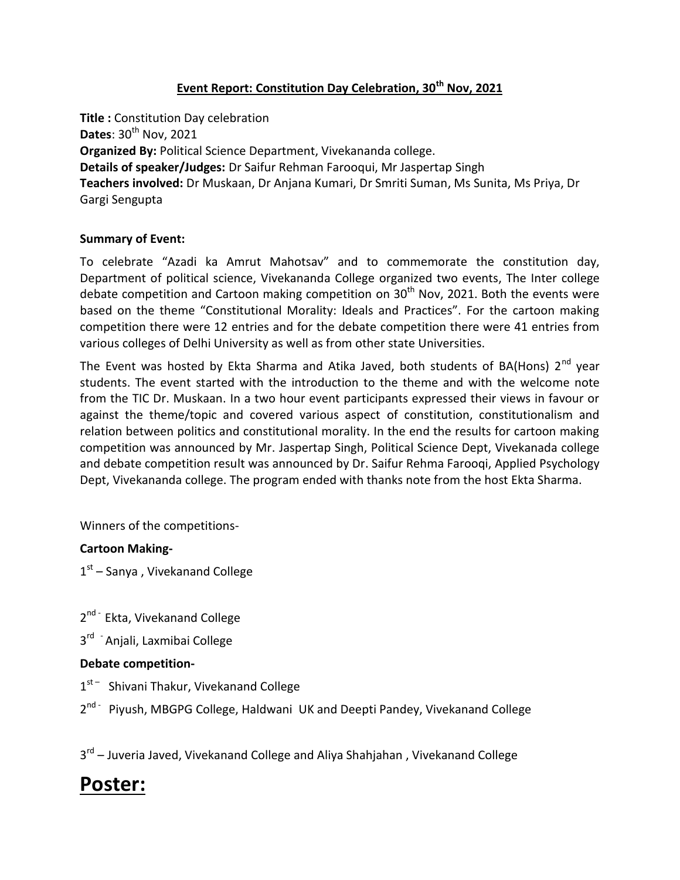### **Event Report: Constitution Day Celebration, 30th Nov, 2021**

**Title :** Constitution Day celebration **Dates:** 30<sup>th</sup> Nov, 2021 **Organized By:** Political Science Department, Vivekananda college. **Details of speaker/Judges:** Dr Saifur Rehman Farooqui, Mr Jaspertap Singh **Teachers involved:** Dr Muskaan, Dr Anjana Kumari, Dr Smriti Suman, Ms Sunita, Ms Priya, Dr Gargi Sengupta

#### **Summary of Event:**

To celebrate "Azadi ka Amrut Mahotsav" and to commemorate the constitution day, Department of political science, Vivekananda College organized two events, The Inter college debate competition and Cartoon making competition on  $30<sup>th</sup>$  Nov, 2021. Both the events were based on the theme "Constitutional Morality: Ideals and Practices". For the cartoon making competition there were 12 entries and for the debate competition there were 41 entries from various colleges of Delhi University as well as from other state Universities.

The Event was hosted by Ekta Sharma and Atika Javed, both students of BA(Hons)  $2^{nd}$  year students. The event started with the introduction to the theme and with the welcome note from the TIC Dr. Muskaan. In a two hour event participants expressed their views in favour or against the theme/topic and covered various aspect of constitution, constitutionalism and relation between politics and constitutional morality. In the end the results for cartoon making competition was announced by Mr. Jaspertap Singh, Political Science Dept, Vivekanada college and debate competition result was announced by Dr. Saifur Rehma Farooqi, Applied Psychology Dept, Vivekananda college. The program ended with thanks note from the host Ekta Sharma.

Winners of the competitions-

#### **Cartoon Making-**

1<sup>st</sup> – Sanya , Vivekanand College

- 2<sup>nd -</sup> Ekta, Vivekanand College
- 3<sup>rd -</sup> Anjali, Laxmibai College

#### **Debate competition-**

- 1<sup>st-</sup> Shivani Thakur, Vivekanand College
- 2<sup>nd -</sup> Piyush, MBGPG College, Haldwani UK and Deepti Pandey, Vivekanand College

3<sup>rd</sup> – Juveria Javed, Vivekanand College and Aliya Shahjahan , Vivekanand College

## **Poster:**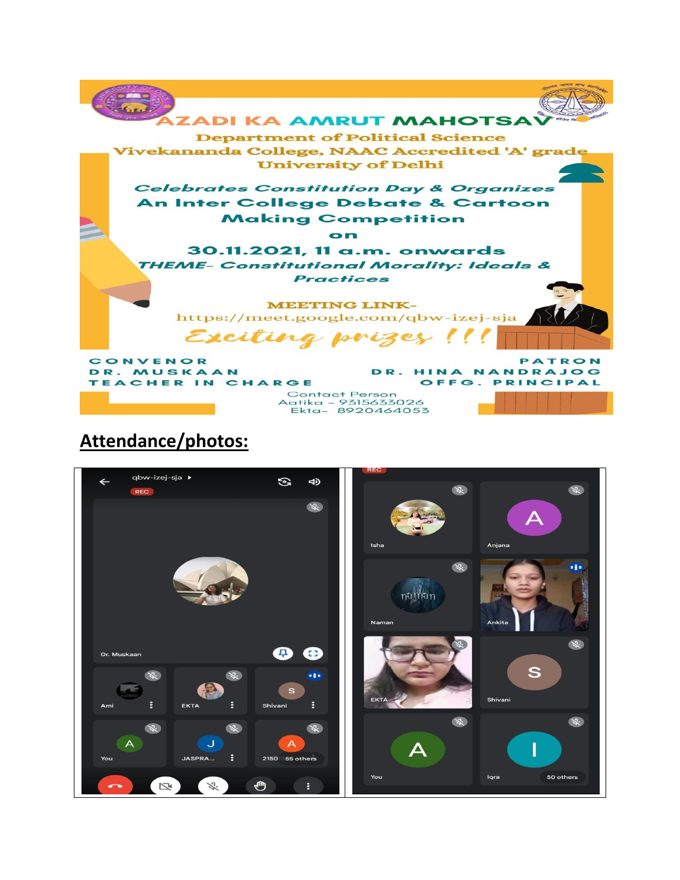

# **Attendance/photos:**

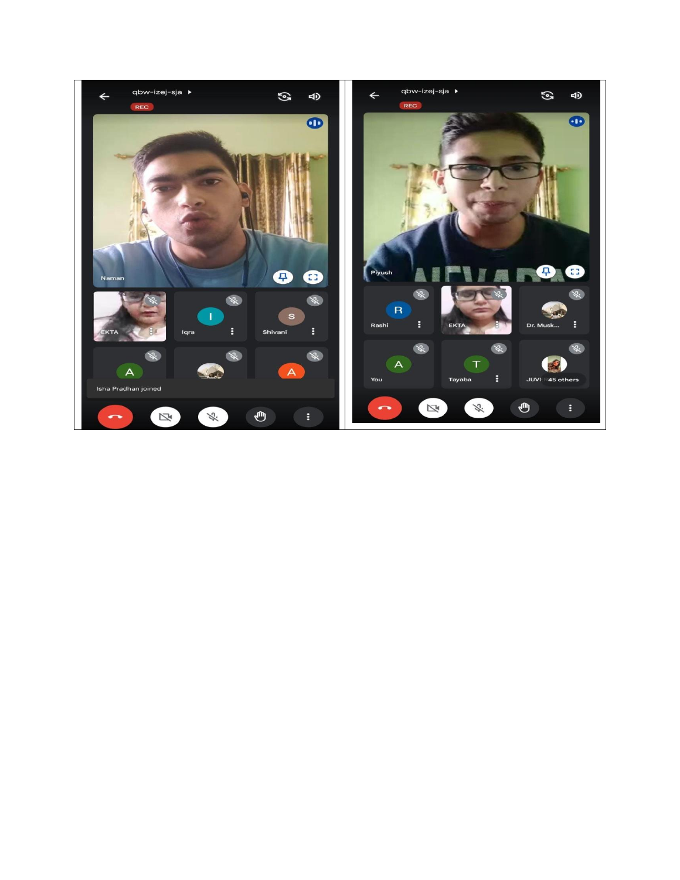